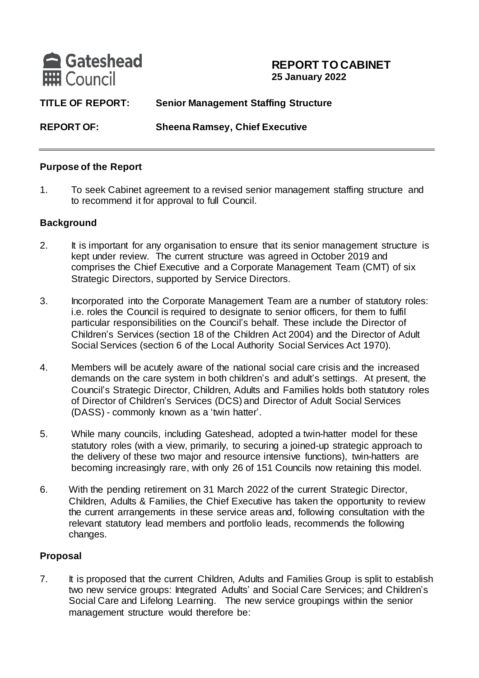

#### **REPORT TO CABINET 25 January 2022**

**TITLE OF REPORT: Senior Management Staffing Structure**

**REPORT OF: Sheena Ramsey, Chief Executive**

#### **Purpose of the Report**

1. To seek Cabinet agreement to a revised senior management staffing structure and to recommend it for approval to full Council.

#### **Background**

- 2. It is important for any organisation to ensure that its senior management structure is kept under review. The current structure was agreed in October 2019 and comprises the Chief Executive and a Corporate Management Team (CMT) of six Strategic Directors, supported by Service Directors.
- 3. Incorporated into the Corporate Management Team are a number of statutory roles: i.e. roles the Council is required to designate to senior officers, for them to fulfil particular responsibilities on the Council's behalf. These include the Director of Children's Services (section 18 of the Children Act 2004) and the Director of Adult Social Services (section 6 of the Local Authority Social Services Act 1970).
- 4. Members will be acutely aware of the national social care crisis and the increased demands on the care system in both children's and adult's settings. At present, the Council's Strategic Director, Children, Adults and Families holds both statutory roles of Director of Children's Services (DCS) and Director of Adult Social Services (DASS) - commonly known as a 'twin hatter'.
- 5. While many councils, including Gateshead, adopted a twin-hatter model for these statutory roles (with a view, primarily, to securing a joined-up strategic approach to the delivery of these two major and resource intensive functions), twin-hatters are becoming increasingly rare, with only 26 of 151 Councils now retaining this model.
- 6. With the pending retirement on 31 March 2022 of the current Strategic Director, Children, Adults & Families, the Chief Executive has taken the opportunity to review the current arrangements in these service areas and, following consultation with the relevant statutory lead members and portfolio leads, recommends the following changes.

#### **Proposal**

7. It is proposed that the current Children, Adults and Families Group is split to establish two new service groups: Integrated Adults' and Social Care Services; and Children's Social Care and Lifelong Learning. The new service groupings within the senior management structure would therefore be: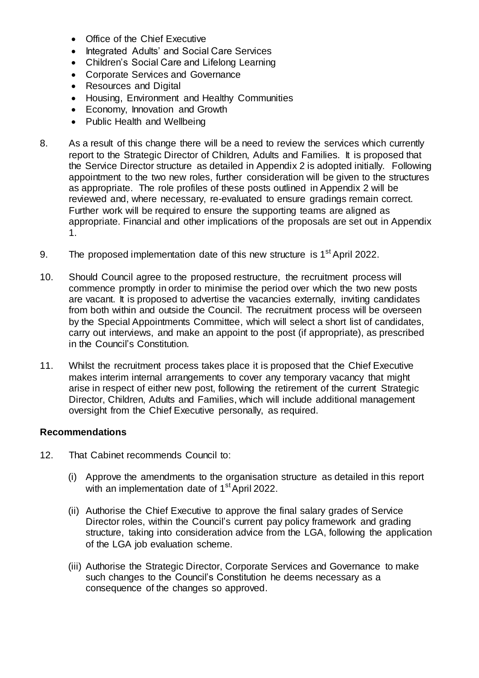- Office of the Chief Executive
- Integrated Adults' and Social Care Services
- Children's Social Care and Lifelong Learning
- Corporate Services and Governance
- Resources and Digital
- Housing, Environment and Healthy Communities
- Economy, Innovation and Growth
- Public Health and Wellbeing
- 8. As a result of this change there will be a need to review the services which currently report to the Strategic Director of Children, Adults and Families. It is proposed that the Service Director structure as detailed in Appendix 2 is adopted initially. Following appointment to the two new roles, further consideration will be given to the structures as appropriate. The role profiles of these posts outlined in Appendix 2 will be reviewed and, where necessary, re-evaluated to ensure gradings remain correct. Further work will be required to ensure the supporting teams are aligned as appropriate. Financial and other implications of the proposals are set out in Appendix 1.
- 9. The proposed implementation date of this new structure is 1<sup>st</sup> April 2022.
- 10. Should Council agree to the proposed restructure, the recruitment process will commence promptly in order to minimise the period over which the two new posts are vacant. It is proposed to advertise the vacancies externally, inviting candidates from both within and outside the Council. The recruitment process will be overseen by the Special Appointments Committee, which will select a short list of candidates, carry out interviews, and make an appoint to the post (if appropriate), as prescribed in the Council's Constitution.
- 11. Whilst the recruitment process takes place it is proposed that the Chief Executive makes interim internal arrangements to cover any temporary vacancy that might arise in respect of either new post, following the retirement of the current Strategic Director, Children, Adults and Families, which will include additional management oversight from the Chief Executive personally, as required.

#### **Recommendations**

- 12. That Cabinet recommends Council to:
	- (i) Approve the amendments to the organisation structure as detailed in this report with an implementation date of 1<sup>st</sup> April 2022.
	- (ii) Authorise the Chief Executive to approve the final salary grades of Service Director roles, within the Council's current pay policy framework and grading structure, taking into consideration advice from the LGA, following the application of the LGA job evaluation scheme.
	- (iii) Authorise the Strategic Director, Corporate Services and Governance to make such changes to the Council's Constitution he deems necessary as a consequence of the changes so approved.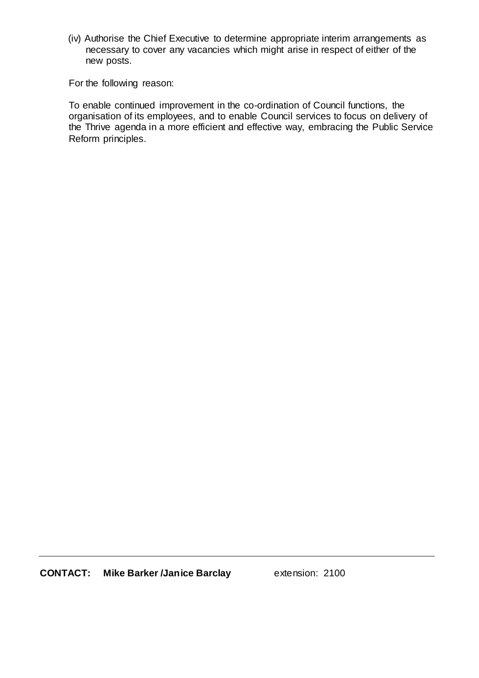(iv) Authorise the Chief Executive to determine appropriate interim arrangements as necessary to cover any vacancies which might arise in respect of either of the new posts.

For the following reason:

To enable continued improvement in the co-ordination of Council functions, the organisation of its employees, and to enable Council services to focus on delivery of the Thrive agenda in a more efficient and effective way, embracing the Public Service Reform principles.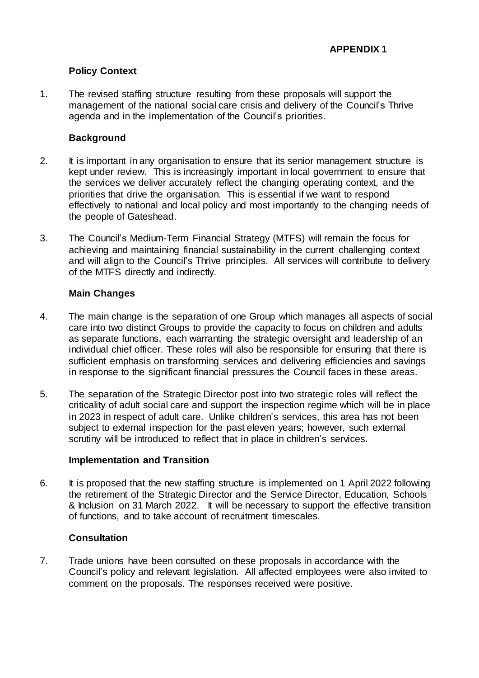#### **Policy Context**

1. The revised staffing structure resulting from these proposals will support the management of the national social care crisis and delivery of the Council's Thrive agenda and in the implementation of the Council's priorities.

#### **Background**

- 2. It is important in any organisation to ensure that its senior management structure is kept under review. This is increasingly important in local government to ensure that the services we deliver accurately reflect the changing operating context, and the priorities that drive the organisation. This is essential if we want to respond effectively to national and local policy and most importantly to the changing needs of the people of Gateshead.
- 3. The Council's Medium-Term Financial Strategy (MTFS) will remain the focus for achieving and maintaining financial sustainability in the current challenging context and will align to the Council's Thrive principles. All services will contribute to delivery of the MTFS directly and indirectly.

#### **Main Changes**

- 4. The main change is the separation of one Group which manages all aspects of social care into two distinct Groups to provide the capacity to focus on children and adults as separate functions, each warranting the strategic oversight and leadership of an individual chief officer. These roles will also be responsible for ensuring that there is sufficient emphasis on transforming services and delivering efficiencies and savings in response to the significant financial pressures the Council faces in these areas.
- 5. The separation of the Strategic Director post into two strategic roles will reflect the criticality of adult social care and support the inspection regime which will be in place in 2023 in respect of adult care. Unlike children's services, this area has not been subject to external inspection for the past eleven years; however, such external scrutiny will be introduced to reflect that in place in children's services.

#### **Implementation and Transition**

6. It is proposed that the new staffing structure is implemented on 1 April 2022 following the retirement of the Strategic Director and the Service Director, Education, Schools & Inclusion on 31 March 2022. It will be necessary to support the effective transition of functions, and to take account of recruitment timescales.

#### **Consultation**

7. Trade unions have been consulted on these proposals in accordance with the Council's policy and relevant legislation. All affected employees were also invited to comment on the proposals. The responses received were positive.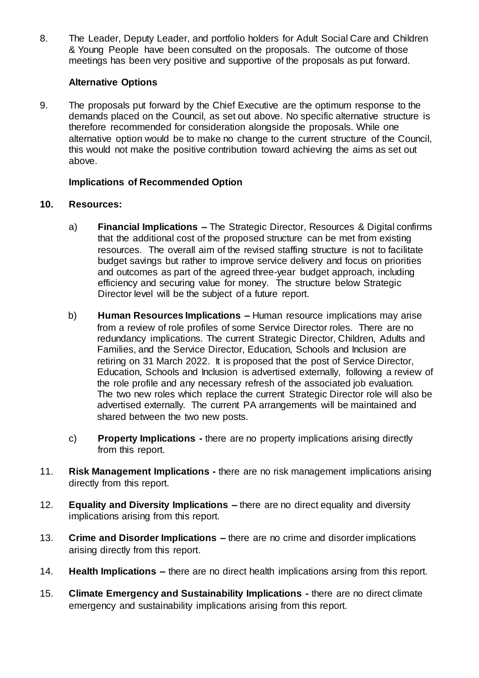8. The Leader, Deputy Leader, and portfolio holders for Adult Social Care and Children & Young People have been consulted on the proposals. The outcome of those meetings has been very positive and supportive of the proposals as put forward.

#### **Alternative Options**

9. The proposals put forward by the Chief Executive are the optimum response to the demands placed on the Council, as set out above. No specific alternative structure is therefore recommended for consideration alongside the proposals. While one alternative option would be to make no change to the current structure of the Council, this would not make the positive contribution toward achieving the aims as set out above.

#### **Implications of Recommended Option**

#### **10. Resources:**

- a) **Financial Implications –** The Strategic Director, Resources & Digital confirms that the additional cost of the proposed structure can be met from existing resources. The overall aim of the revised staffing structure is not to facilitate budget savings but rather to improve service delivery and focus on priorities and outcomes as part of the agreed three-year budget approach, including efficiency and securing value for money. The structure below Strategic Director level will be the subject of a future report.
- b) **Human Resources Implications –** Human resource implications may arise from a review of role profiles of some Service Director roles. There are no redundancy implications. The current Strategic Director, Children, Adults and Families, and the Service Director, Education, Schools and Inclusion are retiring on 31 March 2022. It is proposed that the post of Service Director, Education, Schools and Inclusion is advertised externally, following a review of the role profile and any necessary refresh of the associated job evaluation. The two new roles which replace the current Strategic Director role will also be advertised externally. The current PA arrangements will be maintained and shared between the two new posts.
- c) **Property Implications -** there are no property implications arising directly from this report.
- 11. **Risk Management Implications -** there are no risk management implications arising directly from this report.
- 12. **Equality and Diversity Implications –** there are no direct equality and diversity implications arising from this report.
- 13. **Crime and Disorder Implications –** there are no crime and disorder implications arising directly from this report.
- 14. **Health Implications –** there are no direct health implications arsing from this report.
- 15. **Climate Emergency and Sustainability Implications -** there are no direct climate emergency and sustainability implications arising from this report.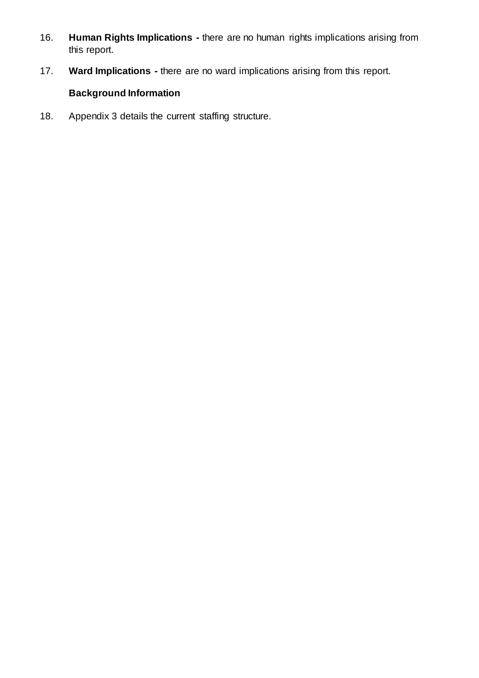- 16. **Human Rights Implications -** there are no human rights implications arising from this report.
- 17. **Ward Implications -** there are no ward implications arising from this report.

### **Background Information**

18. Appendix 3 details the current staffing structure.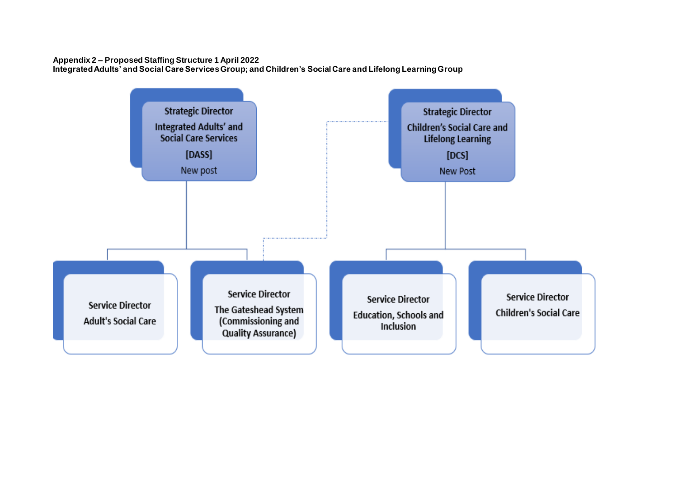## **Appendix 2 – Proposed Staffing Structure 1 April 2022**

**Integrated Adults' and Social Care Services Group; and Children's Social Care and Lifelong Learning Group**



**Service Director Children's Social Care**